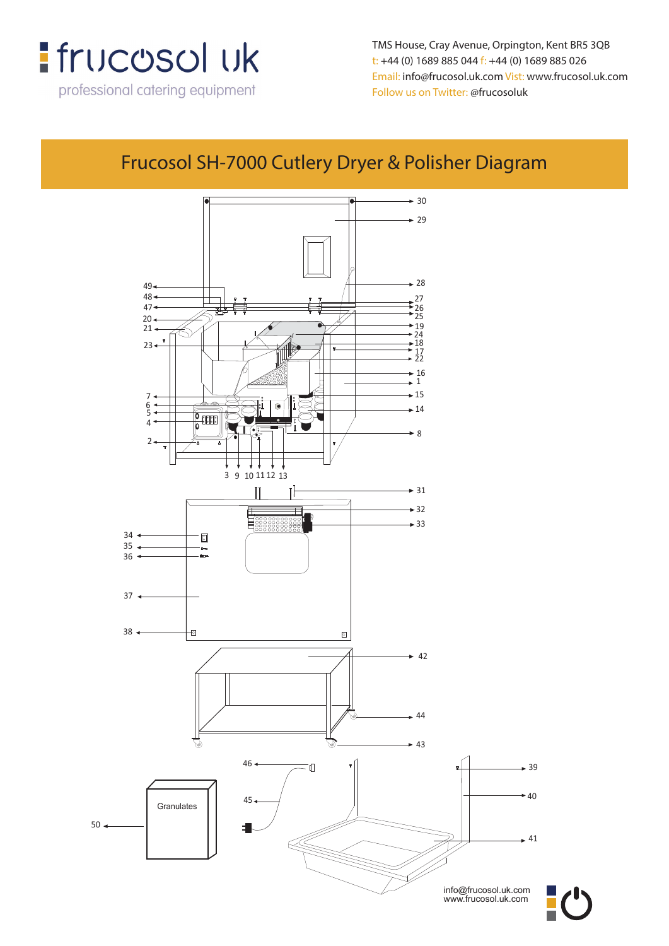

professional catering equipment

**TMS House, Crey Avenue, Orpington, Kent, BR5 3QB** TMS House, Cray Avenue, Orpington, Kent BR5 3QB **t: +44 (0) 1689 885 044 f: +44 (0) 1689 885 026** t: +44 (0) 1689 885 044 f: +44 (0) 1689 885 026 **Email: info@frucosol.uk.com Vist: www.frucosol.uk.com** Email: info@frucosol.uk.com Vist: www.frucosol.uk.com **Follow us on Twitter: @frucosoluk** Follow us on Twitter: @frucosoluk

## **Frucosol SH-7000 Cutlery Dryer & Polisher Diagram** Frucosol SH-7000 Cutlery Dryer & Polisher Diagram



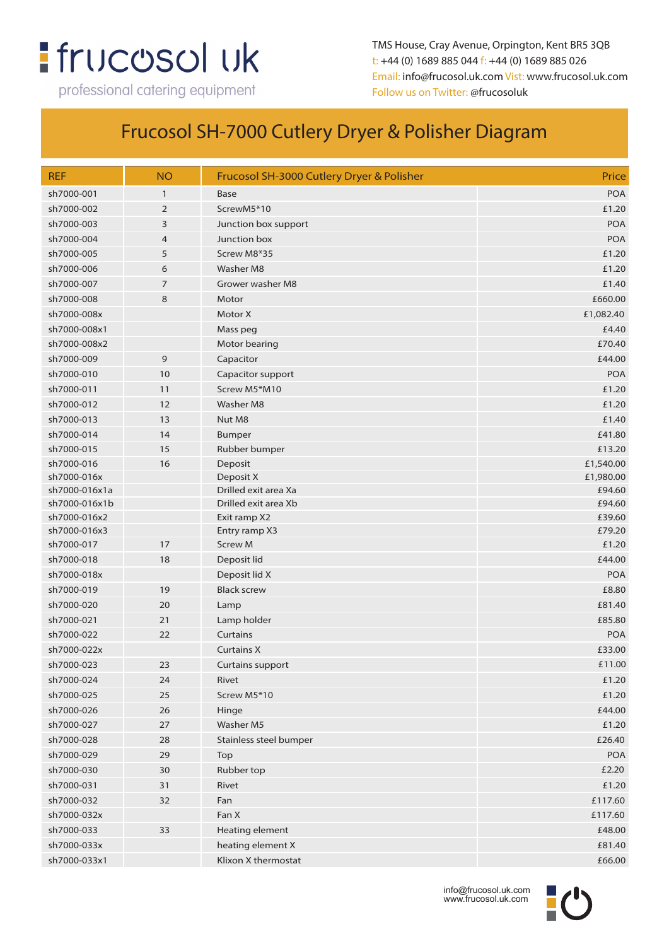## **:** frucosol uk

professional catering equipment

TMS House, Cray Avenue, Orpington, Kent BR5 3QB t: +44 (0) 1689 885 044 f: +44 (0) 1689 885 026 Email: info@frucosol.uk.com Vist: www.frucosol.uk.com Follow us on Twitter: @frucosoluk

## Frucosol SH-7000 Cutlery Dryer & Polisher Diagram

| <b>REF</b>    | <b>NO</b>      | Frucosol SH-3000 Cutlery Dryer & Polisher | Price      |
|---------------|----------------|-------------------------------------------|------------|
| sh7000-001    | $\mathbf{1}$   | <b>Base</b>                               | <b>POA</b> |
| sh7000-002    | $\overline{2}$ | ScrewM5*10                                | £1.20      |
| sh7000-003    | 3              | Junction box support                      | <b>POA</b> |
| sh7000-004    | $\overline{4}$ | Junction box                              | <b>POA</b> |
| sh7000-005    | 5              | Screw M8*35                               | £1.20      |
| sh7000-006    | 6              | <b>Washer M8</b>                          | £1.20      |
| sh7000-007    | 7              | Grower washer M8                          | £1.40      |
| sh7000-008    | 8              | Motor                                     | £660.00    |
| sh7000-008x   |                | Motor X                                   | £1,082.40  |
| sh7000-008x1  |                | Mass peg                                  | £4.40      |
| sh7000-008x2  |                | Motor bearing                             | £70.40     |
| sh7000-009    | 9              | Capacitor                                 | £44.00     |
| sh7000-010    | 10             | Capacitor support                         | <b>POA</b> |
| sh7000-011    | 11             | Screw M5*M10                              | £1.20      |
| sh7000-012    | 12             | <b>Washer M8</b>                          | £1.20      |
| sh7000-013    | 13             | Nut M8                                    | £1.40      |
| sh7000-014    | 14             | Bumper                                    | £41.80     |
| sh7000-015    | 15             | Rubber bumper                             | £13.20     |
| sh7000-016    | 16             | Deposit                                   | £1,540.00  |
| sh7000-016x   |                | Deposit X                                 | £1,980.00  |
| sh7000-016x1a |                | Drilled exit area Xa                      | £94.60     |
| sh7000-016x1b |                | Drilled exit area Xb                      | £94.60     |
| sh7000-016x2  |                | Exit ramp X2                              | £39.60     |
| sh7000-016x3  |                | Entry ramp X3                             | £79.20     |
| sh7000-017    | 17             | <b>Screw M</b>                            | £1.20      |
| sh7000-018    | 18             | Deposit lid                               | £44.00     |
| sh7000-018x   |                | Deposit lid X                             | <b>POA</b> |
| sh7000-019    | 19             | <b>Black screw</b>                        | £8.80      |
| sh7000-020    | 20             | Lamp                                      | £81.40     |
| sh7000-021    | 21             | Lamp holder                               | £85.80     |
| sh7000-022    | 22             | Curtains                                  | <b>POA</b> |
| sh7000-022x   |                | <b>Curtains X</b>                         | £33.00     |
| sh7000-023    | 23             | <b>Curtains support</b>                   | £11.00     |
| sh7000-024    | 24             | Rivet                                     | £1.20      |
| sh7000-025    | 25             | Screw M5*10                               | £1.20      |
| sh7000-026    | 26             | Hinge                                     | £44.00     |
| sh7000-027    | 27             | Washer M5                                 | £1.20      |
| sh7000-028    | 28             | Stainless steel bumper                    | £26.40     |
| sh7000-029    | 29             | Top                                       | <b>POA</b> |
| sh7000-030    | 30             | Rubber top                                | £2.20      |
| sh7000-031    | 31             | Rivet                                     | £1.20      |
| sh7000-032    | 32             | Fan                                       | £117.60    |
| sh7000-032x   |                | Fan X                                     | £117.60    |
| sh7000-033    | 33             | Heating element                           | £48.00     |
| sh7000-033x   |                | heating element X                         | £81.40     |
| sh7000-033x1  |                | Klixon X thermostat                       | £66.00     |